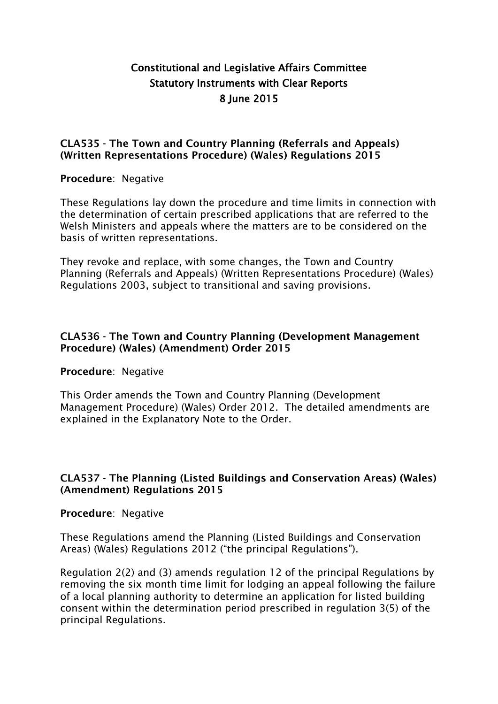# **Constitutional and Legislative Affairs Committee Statutory Instruments with Clear Reports 8 June 2015**

### **CLA535 - The Town and Country Planning (Referrals and Appeals) (Written Representations Procedure) (Wales) Regulations 2015**

### **Procedure**: Negative

These Regulations lay down the procedure and time limits in connection with the determination of certain prescribed applications that are referred to the Welsh Ministers and appeals where the matters are to be considered on the basis of written representations.

They revoke and replace, with some changes, the Town and Country Planning (Referrals and Appeals) (Written Representations Procedure) (Wales) Regulations 2003, subject to transitional and saving provisions.

## **CLA536 - The Town and Country Planning (Development Management Procedure) (Wales) (Amendment) Order 2015**

## **Procedure**: Negative

This Order amends the Town and Country Planning (Development Management Procedure) (Wales) Order 2012. The detailed amendments are explained in the Explanatory Note to the Order.

## **CLA537 - The Planning (Listed Buildings and Conservation Areas) (Wales) (Amendment) Regulations 2015**

#### **Procedure**: Negative

These Regulations amend the Planning (Listed Buildings and Conservation Areas) (Wales) Regulations 2012 ("the principal Regulations").

Regulation 2(2) and (3) amends regulation 12 of the principal Regulations by removing the six month time limit for lodging an appeal following the failure of a local planning authority to determine an application for listed building consent within the determination period prescribed in regulation 3(5) of the principal Regulations.